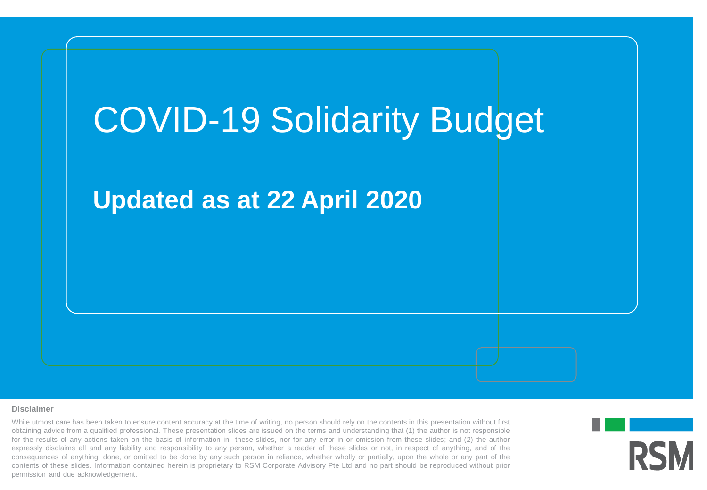

#### **Disclaimer**

contents of these slides. Information contained herein is proprietary to RSM Corporate Advisory Pte Ltd and no part should be reproduced without prior While utmost care has been taken to ensure content accuracy at the time of writing, no person should rely on the contents in this presentation without first obtaining advice from a qualified professional. These presentation slides are issued on the terms and understanding that (1) the author is not responsible for the results of any actions taken on the basis of information in these slides, nor for any error in or omission from these slides; and (2) the author expressly disclaims all and any liability and responsibility to any person, whether a reader of these slides or not, in respect of anything, and of the consequences of anything, done, or omitted to be done by any such person in reliance, whether wholly or partially, upon the whole or any part of the permission and due acknowledgement.

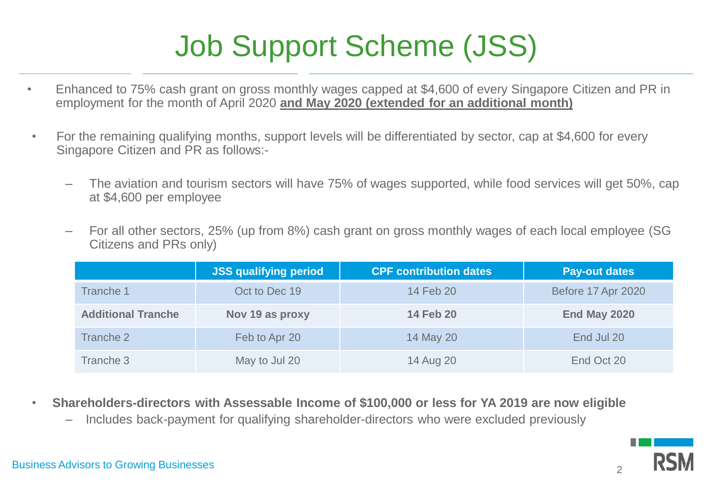# Job Support Scheme (JSS)

- Enhanced to 75% cash grant on gross monthly wages capped at \$4,600 of every Singapore Citizen and PR in employment for the month of April 2020 **and May 2020 (extended for an additional month)**
- For the remaining qualifying months, support levels will be differentiated by sector, cap at \$4,600 for every Singapore Citizen and PR as follows:-
	- The aviation and tourism sectors will have 75% of wages supported, while food services will get 50%, cap at \$4,600 per employee
	- For all other sectors, 25% (up from 8%) cash grant on gross monthly wages of each local employee (SG Citizens and PRs only)

|                           | <b>JSS qualifying period</b> | <b>CPF contribution dates</b> | <b>Pay-out dates</b>      |
|---------------------------|------------------------------|-------------------------------|---------------------------|
| Tranche 1                 | Oct to Dec 19                | 14 Feb 20                     | <b>Before 17 Apr 2020</b> |
| <b>Additional Tranche</b> | Nov 19 as proxy              | <b>14 Feb 20</b>              | End May 2020              |
| Tranche 2                 | Feb to Apr 20                | 14 May 20                     | End Jul 20                |
| Tranche 3                 | May to Jul 20                | 14 Aug 20                     | End Oct 20                |

- **Shareholders-directors with Assessable Income of \$100,000 or less for YA 2019 are now eligible**
	- Includes back-payment for qualifying shareholder-directors who were excluded previously

 $\mathfrak{D}$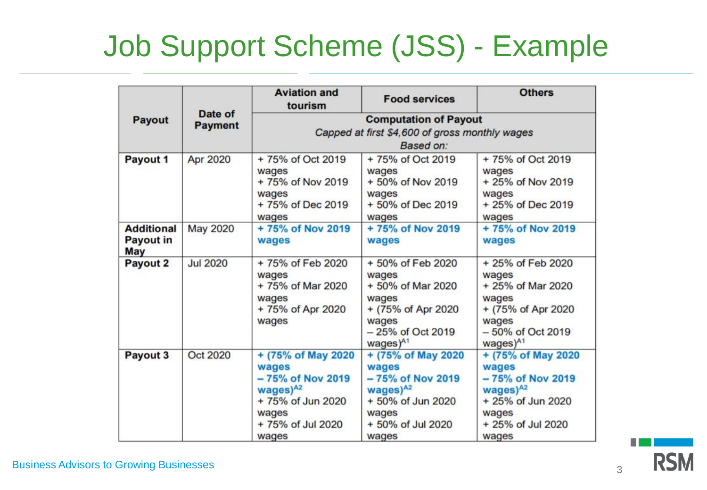# Job Support Scheme (JSS) - Example

| Payout                                       | Date of<br><b>Payment</b> | <b>Aviation and</b><br>tourism                                                                                                 | <b>Food services</b>                                                                                                                 | <b>Others</b>                                                                                                                         |  |  |  |
|----------------------------------------------|---------------------------|--------------------------------------------------------------------------------------------------------------------------------|--------------------------------------------------------------------------------------------------------------------------------------|---------------------------------------------------------------------------------------------------------------------------------------|--|--|--|
|                                              |                           | <b>Computation of Payout</b>                                                                                                   |                                                                                                                                      |                                                                                                                                       |  |  |  |
|                                              |                           | Capped at first \$4,600 of gross monthly wages                                                                                 |                                                                                                                                      |                                                                                                                                       |  |  |  |
|                                              |                           | Based on:                                                                                                                      |                                                                                                                                      |                                                                                                                                       |  |  |  |
| Payout 1                                     | Apr 2020                  | +75% of Oct 2019<br>wages<br>+ 75% of Nov 2019<br>wages<br>+75% of Dec 2019<br>wages                                           | +75% of Oct 2019<br>wages<br>+ 50% of Nov 2019<br>wages<br>+50% of Dec 2019<br>wages                                                 | +75% of Oct 2019<br>wages<br>+ 25% of Nov 2019<br>wages<br>+ 25% of Dec 2019<br>wages                                                 |  |  |  |
| <b>Additional</b><br><b>Payout in</b><br>May | May 2020                  | +75% of Nov 2019<br>wages                                                                                                      | +75% of Nov 2019<br>wages                                                                                                            | +75% of Nov 2019<br>wages                                                                                                             |  |  |  |
| Payout 2                                     | <b>Jul 2020</b>           | +75% of Feb 2020<br>wages<br>+ 75% of Mar 2020<br>wages<br>+75% of Apr 2020<br>wages                                           | +50% of Feb 2020<br>wages<br>+ 50% of Mar 2020<br>wages<br>+ (75% of Apr 2020)<br>wages<br>- 25% of Oct 2019<br>wages) <sup>A1</sup> | + 25% of Feb 2020<br>wages<br>+ 25% of Mar 2020<br>wages<br>+ (75% of Apr 2020)<br>wages<br>- 50% of Oct 2019<br>wages) <sup>A1</sup> |  |  |  |
| Payout 3                                     | Oct 2020                  | + (75% of May 2020)<br>wages<br>- 75% of Nov 2019<br>wages $)^{A2}$<br>+75% of Jun 2020<br>wages<br>+ 75% of Jul 2020<br>wages | + (75% of May 2020)<br>wages<br>- 75% of Nov 2019<br>wages $)^{A2}$<br>+ 50% of Jun 2020<br>wages<br>+ 50% of Jul 2020<br>wages      | + (75% of May 2020<br>wages<br>- 75% of Nov 2019<br>wages $)^{A2}$<br>+ 25% of Jun 2020<br>wages<br>+ 25% of Jul 2020<br>wages        |  |  |  |

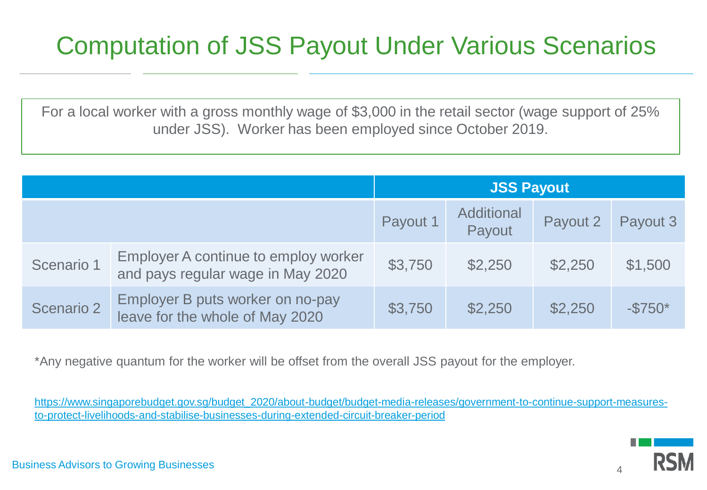### Computation of JSS Payout Under Various Scenarios

For a local worker with a gross monthly wage of \$3,000 in the retail sector (wage support of 25% under JSS). Worker has been employed since October 2019.

|            |                                                                           | <b>JSS Payout</b> |                             |          |           |
|------------|---------------------------------------------------------------------------|-------------------|-----------------------------|----------|-----------|
|            |                                                                           | Payout 1          | <b>Additional</b><br>Payout | Payout 2 | Payout 3  |
| Scenario 1 | Employer A continue to employ worker<br>and pays regular wage in May 2020 | \$3,750           | \$2,250                     | \$2,250  | \$1,500   |
| Scenario 2 | Employer B puts worker on no-pay<br>leave for the whole of May 2020       | \$3,750           | \$2,250                     | \$2,250  | $-\$750*$ |

\*Any negative quantum for the worker will be offset from the overall JSS payout for the employer.

[https://www.singaporebudget.gov.sg/budget\\_2020/about-budget/budget-media-releases/government-to-continue-support-measures](https://www.singaporebudget.gov.sg/budget_2020/about-budget/budget-media-releases/government-to-continue-support-measures-to-protect-livelihoods-and-stabilise-businesses-during-extended-circuit-breaker-period)to-protect-livelihoods-and-stabilise-businesses-during-extended-circuit-breaker-period

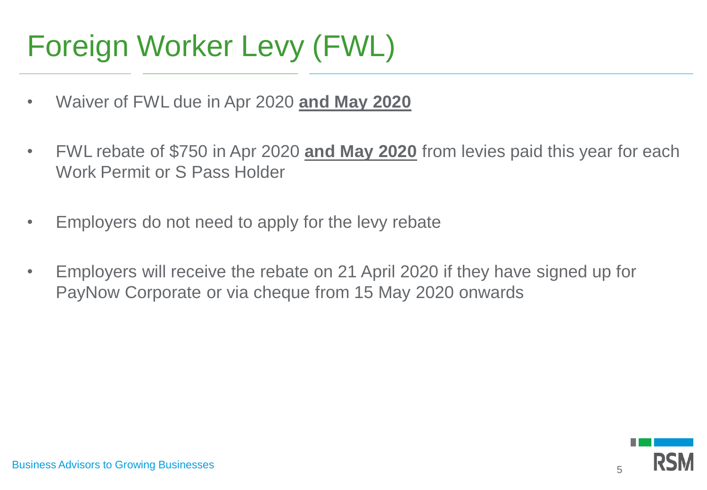# Foreign Worker Levy (FWL)

- Waiver of FWL due in Apr 2020 **and May 2020**
- FWL rebate of \$750 in Apr 2020 **and May 2020** from levies paid this year for each Work Permit or S Pass Holder
- Employers do not need to apply for the levy rebate
- Employers will receive the rebate on 21 April 2020 if they have signed up for PayNow Corporate or via cheque from 15 May 2020 onwards